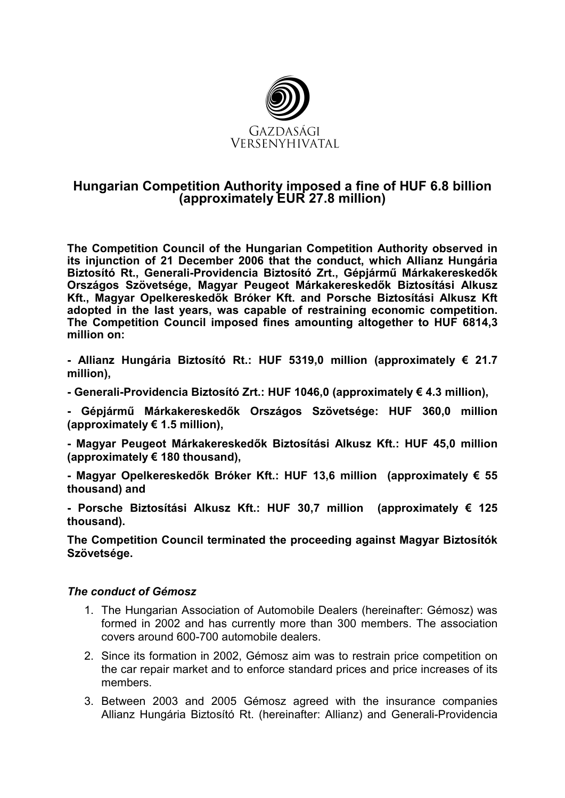

# **Hungarian Competition Authority imposed a fine of HUF 6.8 billion (approximately EUR 27.8 million)**

**The Competition Council of the Hungarian Competition Authority observed in its injunction of 21 December 2006 that the conduct, which Allianz Hungária**  Biztosító Rt., Generali-Providencia Biztosító Zrt., Gépjármű Márkakereskedők **Országos Szövetsége, Magyar Peugeot Márkakereskedık Biztosítási Alkusz**  Kft., Magyar Opelkereskedők Bróker Kft. and Porsche Biztosítási Alkusz Kft **adopted in the last years, was capable of restraining economic competition. The Competition Council imposed fines amounting altogether to HUF 6814,3 million on:** 

**- Allianz Hungária Biztosító Rt.: HUF 5319,0 million (approximately € 21.7 million),**

- **Generali-Providencia Biztosító Zrt.: HUF 1046,0 (approximately € 4.3 million),**
- Gépiármű Márkakereskedők Országos Szövetsége: HUF 360.0 million **(approximately € 1.5 million),**

- Magyar Peugeot Márkakereskedők Biztosítási Alkusz Kft.: HUF 45,0 million **(approximately € 180 thousand),** 

- Magyar Opelkereskedők Bróker Kft.: HUF 13,6 million (approximately € 55 **thousand) and** 

**- Porsche Biztosítási Alkusz Kft.: HUF 30,7 million (approximately € 125 thousand).**

**The Competition Council terminated the proceeding against Magyar Biztosítók Szövetsége.** 

### *The conduct of Gémosz*

- 1. The Hungarian Association of Automobile Dealers (hereinafter: Gémosz) was formed in 2002 and has currently more than 300 members. The association covers around 600-700 automobile dealers.
- 2. Since its formation in 2002, Gémosz aim was to restrain price competition on the car repair market and to enforce standard prices and price increases of its members.
- 3. Between 2003 and 2005 Gémosz agreed with the insurance companies Allianz Hungária Biztosító Rt. (hereinafter: Allianz) and Generali-Providencia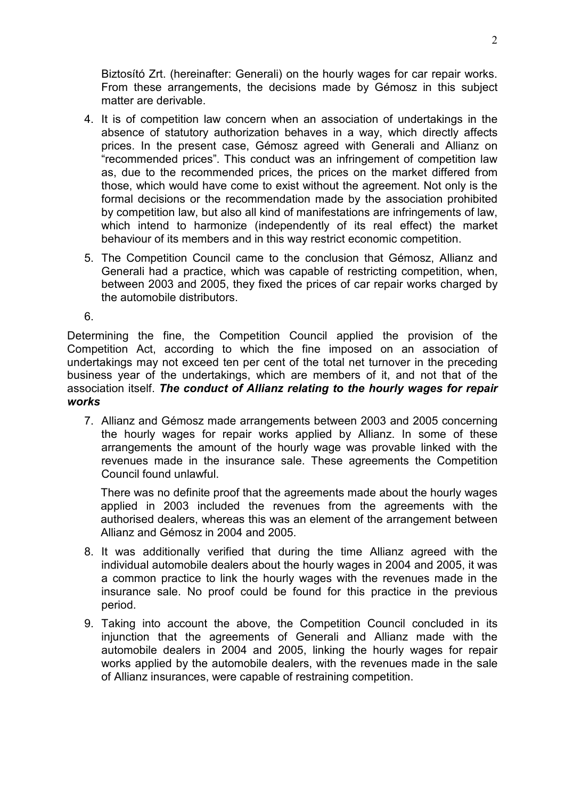Biztosító Zrt. (hereinafter: Generali) on the hourly wages for car repair works. From these arrangements, the decisions made by Gémosz in this subject matter are derivable.

- 4. It is of competition law concern when an association of undertakings in the absence of statutory authorization behaves in a way, which directly affects prices. In the present case, Gémosz agreed with Generali and Allianz on "recommended prices". This conduct was an infringement of competition law as, due to the recommended prices, the prices on the market differed from those, which would have come to exist without the agreement. Not only is the formal decisions or the recommendation made by the association prohibited by competition law, but also all kind of manifestations are infringements of law, which intend to harmonize (independently of its real effect) the market behaviour of its members and in this way restrict economic competition.
- 5. The Competition Council came to the conclusion that Gémosz, Allianz and Generali had a practice, which was capable of restricting competition, when, between 2003 and 2005, they fixed the prices of car repair works charged by the automobile distributors.

6.

Determining the fine, the Competition Council applied the provision of the Competition Act, according to which the fine imposed on an association of undertakings may not exceed ten per cent of the total net turnover in the preceding business year of the undertakings, which are members of it, and not that of the association itself. *The conduct of Allianz relating to the hourly wages for repair works* 

7. Allianz and Gémosz made arrangements between 2003 and 2005 concerning the hourly wages for repair works applied by Allianz. In some of these arrangements the amount of the hourly wage was provable linked with the revenues made in the insurance sale. These agreements the Competition Council found unlawful.

There was no definite proof that the agreements made about the hourly wages applied in 2003 included the revenues from the agreements with the authorised dealers, whereas this was an element of the arrangement between Allianz and Gémosz in 2004 and 2005.

- 8. It was additionally verified that during the time Allianz agreed with the individual automobile dealers about the hourly wages in 2004 and 2005, it was a common practice to link the hourly wages with the revenues made in the insurance sale. No proof could be found for this practice in the previous period.
- 9. Taking into account the above, the Competition Council concluded in its injunction that the agreements of Generali and Allianz made with the automobile dealers in 2004 and 2005, linking the hourly wages for repair works applied by the automobile dealers, with the revenues made in the sale of Allianz insurances, were capable of restraining competition.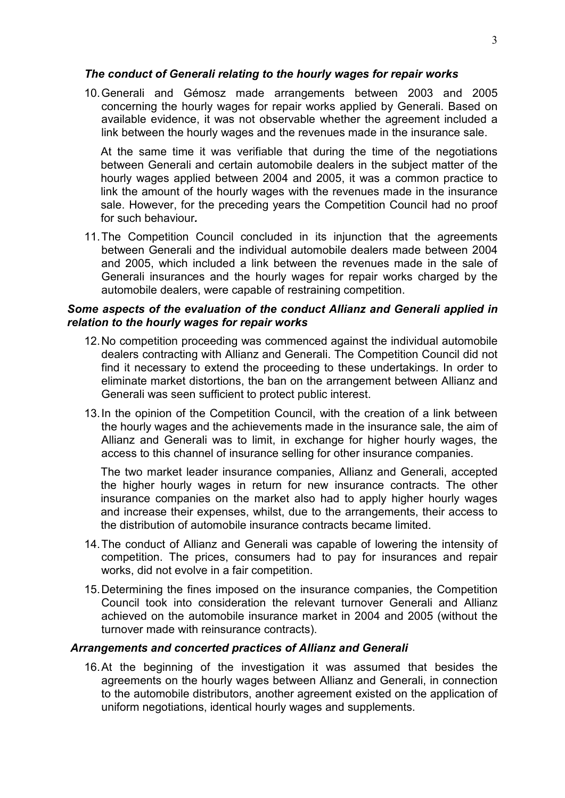#### *The conduct of Generali relating to the hourly wages for repair works*

10. Generali and Gémosz made arrangements between 2003 and 2005 concerning the hourly wages for repair works applied by Generali. Based on available evidence, it was not observable whether the agreement included a link between the hourly wages and the revenues made in the insurance sale.

At the same time it was verifiable that during the time of the negotiations between Generali and certain automobile dealers in the subject matter of the hourly wages applied between 2004 and 2005, it was a common practice to link the amount of the hourly wages with the revenues made in the insurance sale. However, for the preceding years the Competition Council had no proof for such behaviour*.* 

11. The Competition Council concluded in its injunction that the agreements between Generali and the individual automobile dealers made between 2004 and 2005, which included a link between the revenues made in the sale of Generali insurances and the hourly wages for repair works charged by the automobile dealers, were capable of restraining competition.

### *Some aspects of the evaluation of the conduct Allianz and Generali applied in relation to the hourly wages for repair works*

- 12. No competition proceeding was commenced against the individual automobile dealers contracting with Allianz and Generali. The Competition Council did not find it necessary to extend the proceeding to these undertakings. In order to eliminate market distortions, the ban on the arrangement between Allianz and Generali was seen sufficient to protect public interest.
- 13. In the opinion of the Competition Council, with the creation of a link between the hourly wages and the achievements made in the insurance sale, the aim of Allianz and Generali was to limit, in exchange for higher hourly wages, the access to this channel of insurance selling for other insurance companies.

The two market leader insurance companies, Allianz and Generali, accepted the higher hourly wages in return for new insurance contracts. The other insurance companies on the market also had to apply higher hourly wages and increase their expenses, whilst, due to the arrangements, their access to the distribution of automobile insurance contracts became limited.

- 14. The conduct of Allianz and Generali was capable of lowering the intensity of competition. The prices, consumers had to pay for insurances and repair works, did not evolve in a fair competition.
- 15. Determining the fines imposed on the insurance companies, the Competition Council took into consideration the relevant turnover Generali and Allianz achieved on the automobile insurance market in 2004 and 2005 (without the turnover made with reinsurance contracts).

### *Arrangements and concerted practices of Allianz and Generali*

16. At the beginning of the investigation it was assumed that besides the agreements on the hourly wages between Allianz and Generali, in connection to the automobile distributors, another agreement existed on the application of uniform negotiations, identical hourly wages and supplements.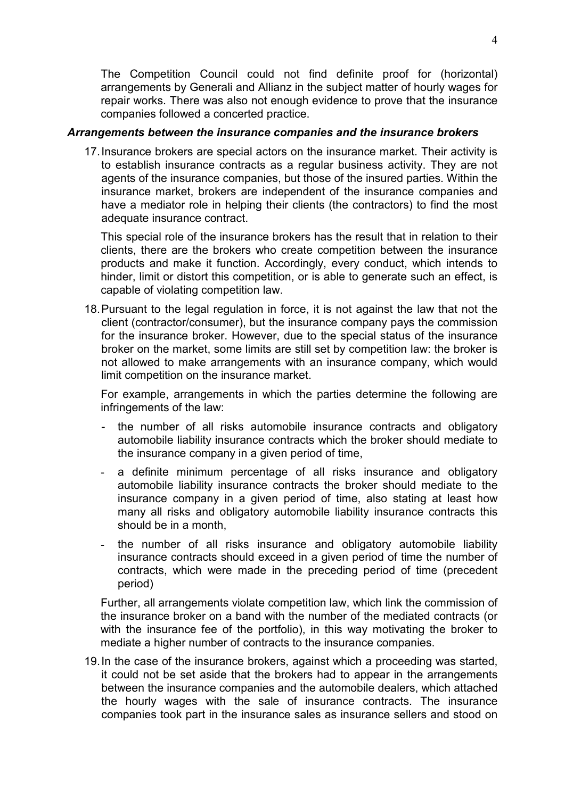The Competition Council could not find definite proof for (horizontal) arrangements by Generali and Allianz in the subject matter of hourly wages for repair works. There was also not enough evidence to prove that the insurance companies followed a concerted practice.

#### *Arrangements between the insurance companies and the insurance brokers*

17. Insurance brokers are special actors on the insurance market. Their activity is to establish insurance contracts as a regular business activity. They are not agents of the insurance companies, but those of the insured parties. Within the insurance market, brokers are independent of the insurance companies and have a mediator role in helping their clients (the contractors) to find the most adequate insurance contract.

This special role of the insurance brokers has the result that in relation to their clients, there are the brokers who create competition between the insurance products and make it function. Accordingly, every conduct, which intends to hinder, limit or distort this competition, or is able to generate such an effect, is capable of violating competition law.

18. Pursuant to the legal regulation in force, it is not against the law that not the client (contractor/consumer), but the insurance company pays the commission for the insurance broker. However, due to the special status of the insurance broker on the market, some limits are still set by competition law: the broker is not allowed to make arrangements with an insurance company, which would limit competition on the insurance market.

For example, arrangements in which the parties determine the following are infringements of the law:

- the number of all risks automobile insurance contracts and obligatory automobile liability insurance contracts which the broker should mediate to the insurance company in a given period of time,
- a definite minimum percentage of all risks insurance and obligatory automobile liability insurance contracts the broker should mediate to the insurance company in a given period of time, also stating at least how many all risks and obligatory automobile liability insurance contracts this should be in a month,
- the number of all risks insurance and obligatory automobile liability insurance contracts should exceed in a given period of time the number of contracts, which were made in the preceding period of time (precedent period)

Further, all arrangements violate competition law, which link the commission of the insurance broker on a band with the number of the mediated contracts (or with the insurance fee of the portfolio), in this way motivating the broker to mediate a higher number of contracts to the insurance companies.

19. In the case of the insurance brokers, against which a proceeding was started, it could not be set aside that the brokers had to appear in the arrangements between the insurance companies and the automobile dealers, which attached the hourly wages with the sale of insurance contracts. The insurance companies took part in the insurance sales as insurance sellers and stood on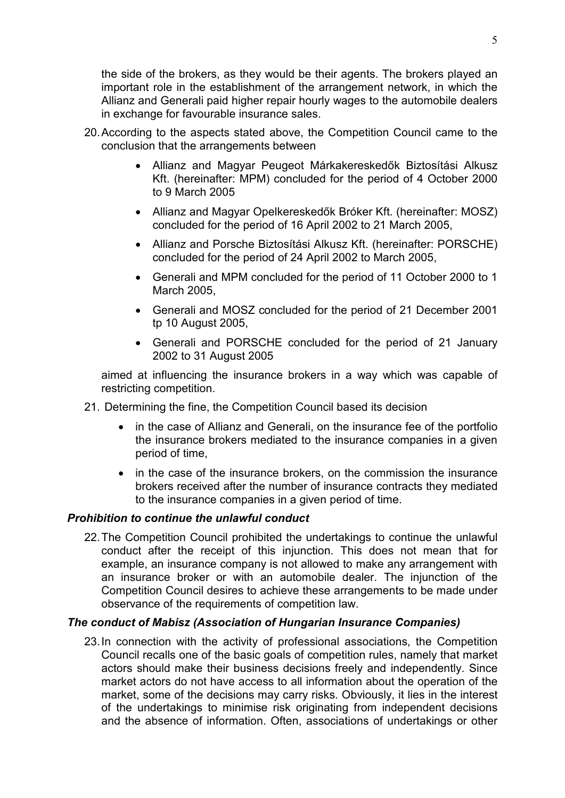the side of the brokers, as they would be their agents. The brokers played an important role in the establishment of the arrangement network, in which the Allianz and Generali paid higher repair hourly wages to the automobile dealers in exchange for favourable insurance sales.

- 20. According to the aspects stated above, the Competition Council came to the conclusion that the arrangements between
	- Allianz and Magyar Peugeot Márkakereskedők Biztosítási Alkusz Kft. (hereinafter: MPM) concluded for the period of 4 October 2000 to 9 March 2005
	- Allianz and Magyar Opelkereskedők Bróker Kft. (hereinafter: MOSZ) concluded for the period of 16 April 2002 to 21 March 2005,
	- Allianz and Porsche Biztosítási Alkusz Kft. (hereinafter: PORSCHE) concluded for the period of 24 April 2002 to March 2005,
	- Generali and MPM concluded for the period of 11 October 2000 to 1 March 2005,
	- Generali and MOSZ concluded for the period of 21 December 2001 tp 10 August 2005,
	- Generali and PORSCHE concluded for the period of 21 January 2002 to 31 August 2005

aimed at influencing the insurance brokers in a way which was capable of restricting competition.

- 21. Determining the fine, the Competition Council based its decision
	- in the case of Allianz and Generali, on the insurance fee of the portfolio the insurance brokers mediated to the insurance companies in a given period of time,
	- in the case of the insurance brokers, on the commission the insurance brokers received after the number of insurance contracts they mediated to the insurance companies in a given period of time.

## *Prohibition to continue the unlawful conduct*

22. The Competition Council prohibited the undertakings to continue the unlawful conduct after the receipt of this injunction. This does not mean that for example, an insurance company is not allowed to make any arrangement with an insurance broker or with an automobile dealer. The injunction of the Competition Council desires to achieve these arrangements to be made under observance of the requirements of competition law.

## *The conduct of Mabisz (Association of Hungarian Insurance Companies)*

23. In connection with the activity of professional associations, the Competition Council recalls one of the basic goals of competition rules, namely that market actors should make their business decisions freely and independently. Since market actors do not have access to all information about the operation of the market, some of the decisions may carry risks. Obviously, it lies in the interest of the undertakings to minimise risk originating from independent decisions and the absence of information. Often, associations of undertakings or other